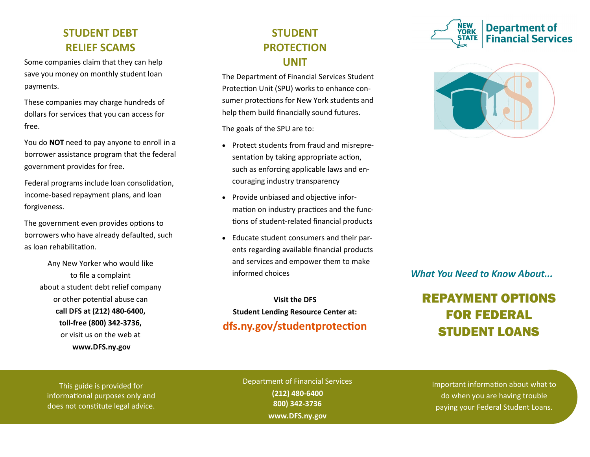### **STUDENT DEBT RELIEF SCAMS**

Some companies claim that they can help save you money on monthly student loan payments.

These companies may charge hundreds of dollars for services that you can access for free.

You do **NOT** need to pay anyone to enroll in a borrower assistance program that the federal government provides for free.

Federal programs include loan consolidation, income-based repayment plans, and loan forgiveness.

The government even provides options to borrowers who have already defaulted, such as loan rehabilitation.

> Any New Yorker who would like to file a complaint about a student debt relief company or other potential abuse can **call DFS at (212) 480-6400, toll-free (800) 342-3736,**  or visit us on the web at **www.DFS.ny.gov**

## **STUDENT PROTECTION UNIT**

The Department of Financial Services Student Protection Unit (SPU) works to enhance consumer protections for New York students and help them build financially sound futures.

The goals of the SPU are to:

- Protect students from fraud and misrepresentation by taking appropriate action, such as enforcing applicable laws and encouraging industry transparency
- Provide unbiased and objective information on industry practices and the functions of student-related financial products
- Educate student consumers and their parents regarding available financial products and services and empower them to make informed choices

**Visit the DFS Student Lending Resource Center at: dfs.ny.gov/studentprotection**





### *What You Need to Know About...*

# REPAYMENT OPTIONS FOR FEDERAL STUDENT LOANS

This guide is provided for informational purposes only and does not constitute legal advice.

Department of Financial Services **(212) 480-6400 800) 342-3736 www.DFS.ny.gov**

Important information about what to do when you are having trouble paying your Federal Student Loans.